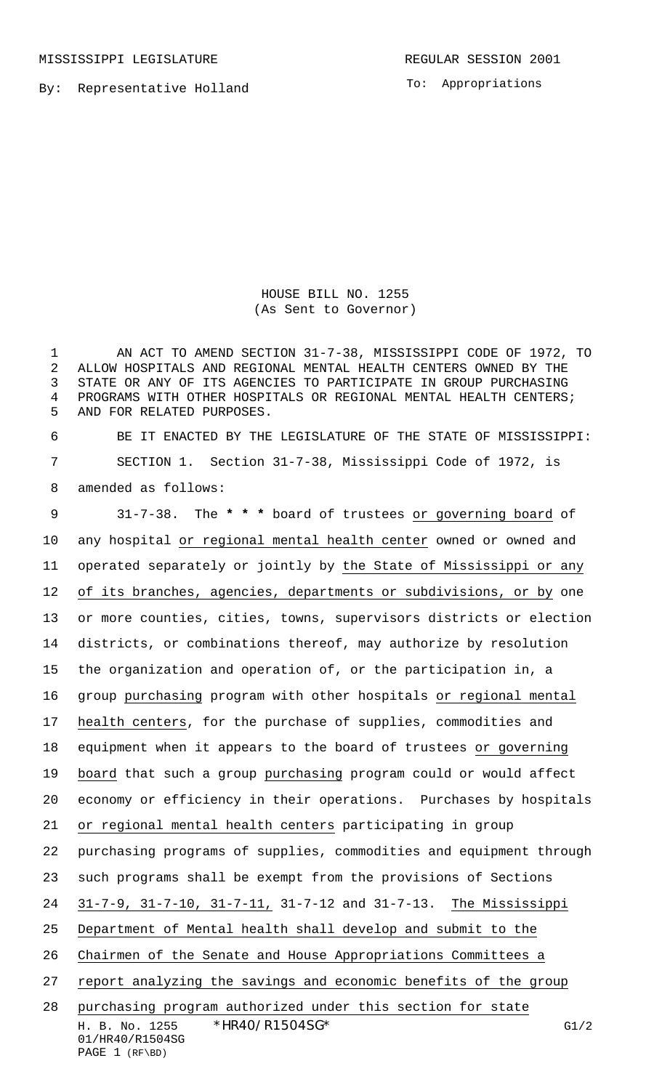MISSISSIPPI LEGISLATURE **REGULAR SESSION 2001** 

By: Representative Holland

To: Appropriations

HOUSE BILL NO. 1255 (As Sent to Governor)

 AN ACT TO AMEND SECTION 31-7-38, MISSISSIPPI CODE OF 1972, TO ALLOW HOSPITALS AND REGIONAL MENTAL HEALTH CENTERS OWNED BY THE STATE OR ANY OF ITS AGENCIES TO PARTICIPATE IN GROUP PURCHASING PROGRAMS WITH OTHER HOSPITALS OR REGIONAL MENTAL HEALTH CENTERS; AND FOR RELATED PURPOSES.

 BE IT ENACTED BY THE LEGISLATURE OF THE STATE OF MISSISSIPPI: SECTION 1. Section 31-7-38, Mississippi Code of 1972, is amended as follows:

H. B. No. 1255 \* HR40/R1504SG\* G1/2 31-7-38. The **\* \* \*** board of trustees or governing board of any hospital or regional mental health center owned or owned and operated separately or jointly by the State of Mississippi or any 12 of its branches, agencies, departments or subdivisions, or by one or more counties, cities, towns, supervisors districts or election districts, or combinations thereof, may authorize by resolution the organization and operation of, or the participation in, a group purchasing program with other hospitals or regional mental health centers, for the purchase of supplies, commodities and equipment when it appears to the board of trustees or governing board that such a group purchasing program could or would affect economy or efficiency in their operations. Purchases by hospitals or regional mental health centers participating in group purchasing programs of supplies, commodities and equipment through such programs shall be exempt from the provisions of Sections 31-7-9, 31-7-10, 31-7-11, 31-7-12 and 31-7-13. The Mississippi Department of Mental health shall develop and submit to the Chairmen of the Senate and House Appropriations Committees a report analyzing the savings and economic benefits of the group purchasing program authorized under this section for state

01/HR40/R1504SG PAGE 1 (RF\BD)